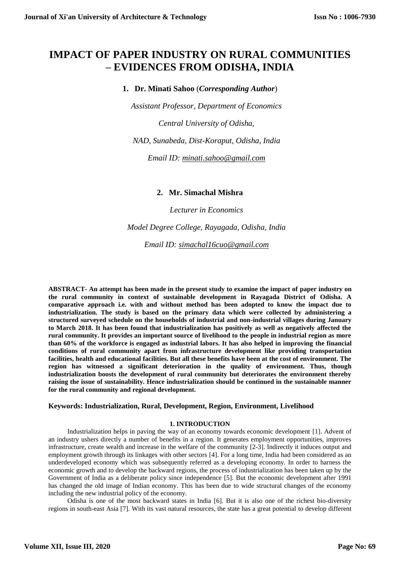# **IMPACT OF PAPER INDUSTRY ON RURAL COMMUNITIES – EVIDENCES FROM ODISHA, INDIA**

**1. Dr. Minati Sahoo** (*Corresponding Author*)

*Assistant Professor, Department of Economics*

*Central University of Odisha,*

*NAD, Sunabeda, Dist-Koraput, Odisha, India*

*Email ID: [minati.sahoo@gmail.com](mailto:minati.sahoo@gmail.com)*

**2. Mr. Simachal Mishra**

*Lecturer in Economics*

*Model Degree College, Rayagada, Odisha, India*

*Email ID: [simachal16cuo@gmail.com](mailto:simachal16cuo@gmail.com)*

**ABSTRACT- An attempt has been made in the present study to examine the impact of paper industry on the rural community in context of sustainable development in Rayagada District of Odisha. A comparative approach i.e. with and without method has been adopted to know the impact due to industrialization. The study is based on the primary data which were collected by administering a structured surveyed schedule on the households of industrial and non-industrial villages during January to March 2018. It has been found that industrialization has positively as well as negatively affected the rural community. It provides an important source of livelihood to the people in industrial region as more than 60% of the workforce is engaged as industrial labors. It has also helped in improving the financial conditions of rural community apart from infrastructure development like providing transportation facilities, health and educational facilities. But all these benefits have been at the cost of environment. The region has witnessed a significant deterioration in the quality of environment. Thus, though industrialization boosts the development of rural community but deteriorates the environment thereby raising the issue of sustainability. Hence industrialization should be continued in the sustainable manner for the rural community and regional development.**

# **Keywords: Industrialization, Rural, Development, Region, Environment, Livelihood**

# **1. INTRODUCTION**

Industrialization helps in paving the way of an economy towards economic development [1]. Advent of an industry ushers directly a number of benefits in a region. It generates employment opportunities, improves infrastructure, create wealth and increase in the welfare of the community [2-3]. Indirectly it induces output and employment growth through its linkages with other sectors [4]. For a long time, India had been considered as an underdeveloped economy which was subsequently referred as a developing economy. In order to harness the economic growth and to develop the backward regions, the process of industrialization has been taken up by the Government of India as a deliberate policy since independence [5]. But the economic development after 1991 has changed the old image of Indian economy. This has been due to wide structural changes of the economy including the new industrial policy of the economy.

Odisha is one of the most backward states in India [6]. But it is also one of the richest bio-diversity regions in south-east Asia [7]. With its vast natural resources, the state has a great potential to develop different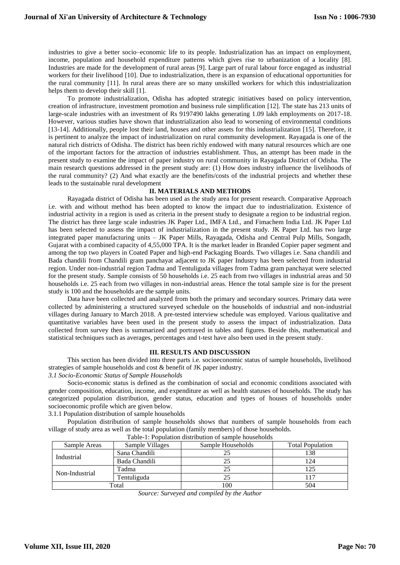industries to give a better socio–economic life to its people. Industrialization has an impact on employment, income, population and household expenditure patterns which gives rise to urbanization of a locality [8]. Industries are made for the development of rural areas [9]. Large part of rural labour force engaged as industrial workers for their livelihood [10]. Due to industrialization, there is an expansion of educational opportunities for the rural community [11]. In rural areas there are so many unskilled workers for which this industrialization helps them to develop their skill [1].

To promote industrialization, Odisha has adopted strategic initiatives based on policy intervention, creation of infrastructure, investment promotion and business rule simplification [12]. The state has 213 units of large-scale industries with an investment of Rs 9197490 lakhs generating 1.09 lakh employments on 2017-18. However, various studies have shown that industrialization also lead to worsening of environmental conditions [13-14]. Additionally, people lost their land, houses and other assets for this industrialization [15]. Therefore, it is pertinent to analyze the impact of industrialization on rural community development. Rayagada is one of the natural rich districts of Odisha. The district has been richly endowed with many natural resources which are one of the important factors for the attraction of industries establishment. Thus, an attempt has been made in the present study to examine the impact of paper industry on rural community in Rayagada District of Odisha. The main research questions addressed in the present study are: (1) How does industry influence the livelihoods of the rural community? (2) And what exactly are the benefits/costs of the industrial projects and whether these leads to the sustainable rural development

## **II. MATERIALS AND METHODS**

Rayagada district of Odisha has been used as the study area for present research. Comparative Approach i.e. with and without method has been adopted to know the impact due to industrialization. Existence of industrial activity in a region is used as criteria in the present study to designate a region to be industrial region. The district has three large scale industries JK Paper Ltd., IMFA Ltd., and Fimachem India Ltd. JK Paper Ltd has been selected to assess the impact of industrialization in the present study. JK Paper Ltd. has two large integrated paper manufacturing units – JK Paper Mills, Rayagada, Odisha and Central Pulp Mills, Songadh, Gujarat with a combined capacity of 4,55,000 TPA. It is the market leader in Branded Copier paper segment and among the top two players in Coated Paper and high-end Packaging Boards. Two villages i.e. Sana chandili and Bada chandili from Chandili gram panchayat adjacent to JK paper Industry has been selected from industrial region. Under non-industrial region Tadma and Tentuliguda villages from Tadma gram panchayat were selected for the present study. Sample consists of 50 households i.e. 25 each from two villages in industrial areas and 50 households i.e. 25 each from two villages in non-industrial areas. Hence the total sample size is for the present study is 100 and the households are the sample units.

Data have been collected and analyzed from both the primary and secondary sources. Primary data were collected by administering a structured surveyed schedule on the households of industrial and non-industrial villages during January to March 2018. A pre-tested interview schedule was employed. Various qualitative and quantitative variables have been used in the present study to assess the impact of industrialization. Data collected from survey then is summarized and portrayed in tables and figures. Beside this, mathematical and statistical techniques such as averages, percentages and t-test have also been used in the present study.

## **III. RESULTS AND DISCUSSION**

This section has been divided into three parts i.e. socioeconomic status of sample households, livelihood strategies of sample households and cost & benefit of JK paper industry.

*3.1 Socio-Economic Status of Sample Households*

Socio-economic status is defined as the combination of social and economic conditions associated with gender composition, education, income, and expenditure as well as health statuses of households. The study has categorized population distribution, gender status, education and types of houses of households under socioeconomic profile which are given below.

3.1.1 Population distribution of sample households

Population distribution of sample households shows that numbers of sample households from each village of study area as well as the total population (family members) of those households.

| Table-1. I opulation distribution of sample households |                 |                   |                         |
|--------------------------------------------------------|-----------------|-------------------|-------------------------|
| Sample Areas                                           | Sample Villages | Sample Households | <b>Total Population</b> |
| Industrial                                             | Sana Chandili   |                   | 138                     |
|                                                        | Bada Chandili   |                   | 124                     |
| Non-Industrial                                         | Tadma           |                   |                         |
|                                                        | Tentuliguda     |                   |                         |
| Total                                                  |                 | 100               | 504                     |

Table-1: Population distribution of sample households

*Source: Surveyed and compiled by the Author*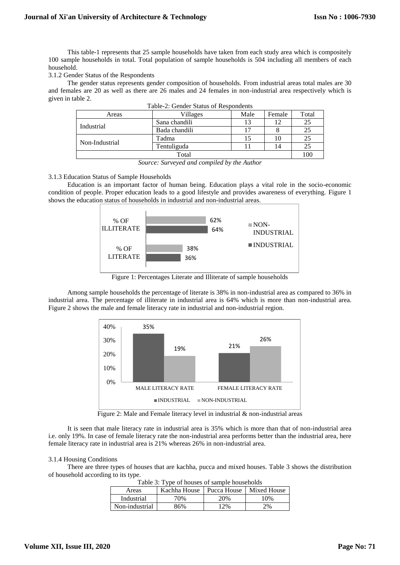This table-1 represents that 25 sample households have taken from each study area which is compositely 100 sample households in total. Total population of sample households is 504 including all members of each household.

# 3.1.2 Gender Status of the Respondents

The gender status represents gender composition of households. From industrial areas total males are 30 and females are 20 as well as there are 26 males and 24 females in non-industrial area respectively which is given in table 2.

| Areas          | Villages      | Male | Female | Total |
|----------------|---------------|------|--------|-------|
| Industrial     | Sana chandili |      |        | 25    |
|                | Bada chandili |      |        | 25    |
| Non-Industrial | Tadma         |      |        | 25    |
|                | Tentuliguda   |      | 14     | 25    |
| Total          |               |      | 100    |       |

| Table-2: Gender Status of Respondents |  |  |
|---------------------------------------|--|--|
|                                       |  |  |

*Source: Surveyed and compiled by the Author*

# 3.1.3 Education Status of Sample Households

Education is an important factor of human being. Education plays a vital role in the socio-economic condition of people. Proper education leads to a good lifestyle and provides awareness of everything. Figure 1 shows the education status of households in industrial and non-industrial areas.



Figure 1: Percentages Literate and Illiterate of sample households

Among sample households the percentage of literate is 38% in non-industrial area as compared to 36% in industrial area. The percentage of illiterate in industrial area is 64% which is more than non-industrial area. Figure 2 shows the male and female literacy rate in industrial and non-industrial region.



Figure 2: Male and Female literacy level in industrial  $\&$  non-industrial areas

It is seen that male literacy rate in industrial area is 35% which is more than that of non-industrial area i.e. only 19%. In case of female literacy rate the non-industrial area performs better than the industrial area, here female literacy rate in industrial area is 21% whereas 26% in non-industrial area.

# 3.1.4 Housing Conditions

There are three types of houses that are kachha, pucca and mixed houses. Table 3 shows the distribution of household according to its type.

| Tuble 5. I yet of houses of sumple households |                                          |     |     |
|-----------------------------------------------|------------------------------------------|-----|-----|
| Areas                                         | Kachha House   Pucca House   Mixed House |     |     |
| Industrial                                    | 70%                                      | 20% | 10% |
| Non-industrial                                | 86%                                      | 12% | 2%  |

Table 3: Type of houses of sample households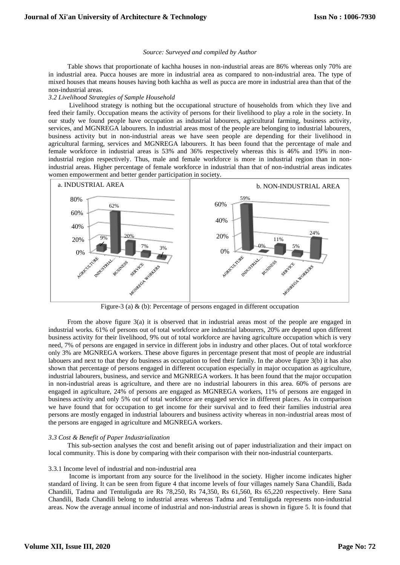#### *Source: Surveyed and compiled by Author*

Table shows that proportionate of kachha houses in non-industrial areas are 86% whereas only 70% are in industrial area. Pucca houses are more in industrial area as compared to non-industrial area. The type of mixed houses that means houses having both kachha as well as pucca are more in industrial area than that of the non-industrial areas.

## *3.2 Livelihood Strategies of Sample Household*

Livelihood strategy is nothing but the occupational structure of households from which they live and feed their family. Occupation means the activity of persons for their livelihood to play a role in the society. In our study we found people have occupation as industrial labourers, agricultural farming, business activity, services, and MGNREGA labourers. In industrial areas most of the people are belonging to industrial labourers, business activity but in non-industrial areas we have seen people are depending for their livelihood in agricultural farming, services and MGNREGA labourers. It has been found that the percentage of male and female workforce in industrial areas is 53% and 36% respectively whereas this is 46% and 19% in nonindustrial region respectively. Thus, male and female workforce is more in industrial region than in nonindustrial areas. Higher percentage of female workforce in industrial than that of non-industrial areas indicates women empowerment and better gender participation in society.



Figure-3 (a) & (b): Percentage of persons engaged in different occupation

From the above figure 3(a) it is observed that in industrial areas most of the people are engaged in industrial works. 61% of persons out of total workforce are industrial labourers, 20% are depend upon different business activity for their livelihood, 9% out of total workforce are having agriculture occupation which is very need, 7% of persons are engaged in service in different jobs in industry and other places. Out of total workforce only 3% are MGNREGA workers. These above figures in percentage present that most of people are industrial labouers and next to that they do business as occupation to feed their family. In the above figure 3(b) it has also shown that percentage of persons engaged in different occupation especially in major occupation as agriculture, industrial labourers, business, and service and MGNREGA workers. It has been found that the major occupation in non-industrial areas is agriculture, and there are no industrial labourers in this area. 60% of persons are engaged in agriculture, 24% of persons are engaged as MGNREGA workers, 11% of persons are engaged in business activity and only 5% out of total workforce are engaged service in different places. As in comparison we have found that for occupation to get income for their survival and to feed their families industrial area persons are mostly engaged in industrial labourers and business activity whereas in non-industrial areas most of the persons are engaged in agriculture and MGNREGA workers.

## *3.3 Cost & Benefit of Paper Industrialization*

This sub-section analyses the cost and benefit arising out of paper industrialization and their impact on local community. This is done by comparing with their comparison with their non-industrial counterparts.

## 3.3.1 Income level of industrial and non-industrial area

Income is important from any source for the livelihood in the society. Higher income indicates higher standard of living. It can be seen from figure 4 that income levels of four villages namely Sana Chandili, Bada Chandili, Tadma and Tentuliguda are Rs 78,250, Rs 74,350, Rs 61,560, Rs 65,220 respectively. Here Sana Chandili, Bada Chandili belong to industrial areas whereas Tadma and Tentuliguda represents non-industrial areas. Now the average annual income of industrial and non-industrial areas is shown in figure 5. It is found that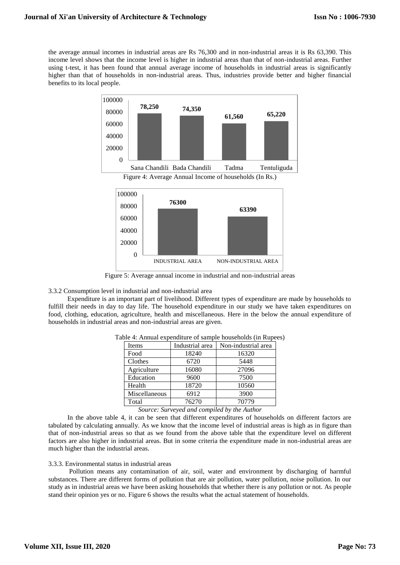the average annual incomes in industrial areas are Rs 76,300 and in non-industrial areas it is Rs 63,390. This income level shows that the income level is higher in industrial areas than that of non-industrial areas. Further using t-test, it has been found that annual average income of households in industrial areas is significantly higher than that of households in non-industrial areas. Thus, industries provide better and higher financial benefits to its local people.



Figure 5: Average annual income in industrial and non-industrial areas

3.3.2 Consumption level in industrial and non-industrial area

Expenditure is an important part of livelihood. Different types of expenditure are made by households to fulfill their needs in day to day life. The household expenditure in our study we have taken expenditures on food, clothing, education, agriculture, health and miscellaneous. Here in the below the annual expenditure of households in industrial areas and non-industrial areas are given.

| Items         | Industrial area | Non-industrial area |
|---------------|-----------------|---------------------|
| Food          | 18240           | 16320               |
| Clothes       | 6720            | 5448                |
| Agriculture   | 16080           | 27096               |
| Education     | 9600            | 7500                |
| Health        | 18720           | 10560               |
| Miscellaneous | 6912            | 3900                |
| Total         | 76270           | 70779               |

Table 4: Annual expenditure of sample households (in Rupees)

*Source: Surveyed and compiled by the Author*

In the above table 4, it can be seen that different expenditures of households on different factors are tabulated by calculating annually. As we know that the income level of industrial areas is high as in figure than that of non-industrial areas so that as we found from the above table that the expenditure level on different factors are also higher in industrial areas. But in some criteria the expenditure made in non-industrial areas are much higher than the industrial areas.

## 3.3.3. Environmental status in industrial areas

Pollution means any contamination of air, soil, water and environment by discharging of harmful substances. There are different forms of pollution that are air pollution, water pollution, noise pollution. In our study as in industrial areas we have been asking households that whether there is any pollution or not. As people stand their opinion yes or no. Figure 6 shows the results what the actual statement of households.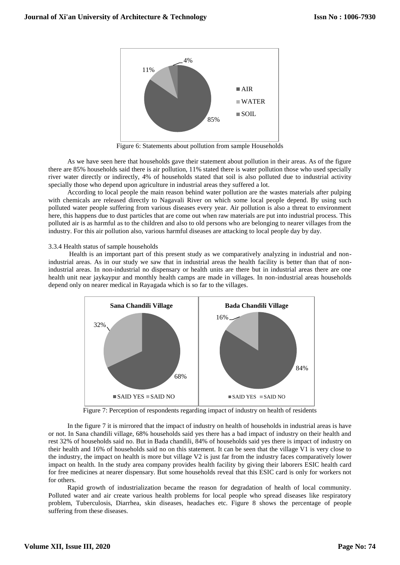

Figure 6: Statements about pollution from sample Households

As we have seen here that households gave their statement about pollution in their areas. As of the figure there are 85% households said there is air pollution, 11% stated there is water pollution those who used specially river water directly or indirectly, 4% of households stated that soil is also polluted due to industrial activity specially those who depend upon agriculture in industrial areas they suffered a lot.

According to local people the main reason behind water pollution are the wastes materials after pulping with chemicals are released directly to Nagavali River on which some local people depend. By using such polluted water people suffering from various diseases every year. Air pollution is also a threat to environment here, this happens due to dust particles that are come out when raw materials are put into industrial process. This polluted air is as harmful as to the children and also to old persons who are belonging to nearer villages from the industry. For this air pollution also, various harmful diseases are attacking to local people day by day.

3.3.4 Health status of sample households

Health is an important part of this present study as we comparatively analyzing in industrial and nonindustrial areas. As in our study we saw that in industrial areas the health facility is better than that of nonindustrial areas. In non-industrial no dispensary or health units are there but in industrial areas there are one health unit near jaykaypur and monthly health camps are made in villages. In non-industrial areas households depend only on nearer medical in Rayagada which is so far to the villages.



Figure 7: Perception of respondents regarding impact of industry on health of residents

In the figure 7 it is mirrored that the impact of industry on health of households in industrial areas is have or not. In Sana chandili village, 68% households said yes there has a bad impact of industry on their health and rest 32% of households said no. But in Bada chandili, 84% of households said yes there is impact of industry on their health and 16% of households said no on this statement. It can be seen that the village  $\overline{V}1$  is very close to the industry, the impact on health is more but village V2 is just far from the industry faces comparatively lower impact on health. In the study area company provides health facility by giving their laborers ESIC health card for free medicines at nearer dispensary. But some households reveal that this ESIC card is only for workers not for others.

Rapid growth of industrialization became the reason for degradation of health of local community. Polluted water and air create various health problems for local people who spread diseases like respiratory problem, Tuberculosis, Diarrhea, skin diseases, headaches etc. Figure 8 shows the percentage of people suffering from these diseases.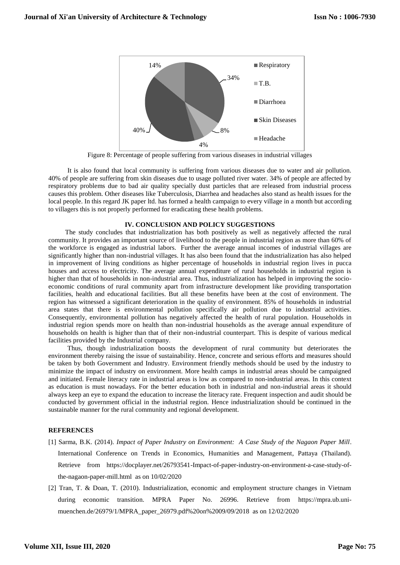

Figure 8: Percentage of people suffering from various diseases in industrial villages

It is also found that local community is suffering from various diseases due to water and air pollution. 40% of people are suffering from skin diseases due to usage polluted river water. 34% of people are affected by respiratory problems due to bad air quality specially dust particles that are released from industrial process causes this problem. Other diseases like Tuberculosis, Diarrhea and headaches also stand as health issues for the local people. In this regard JK paper ltd. has formed a health campaign to every village in a month but according to villagers this is not properly performed for eradicating these health problems.

## **IV. CONCLUSION AND POLICY SUGGESTIONS**

 The study concludes that industrialization has both positively as well as negatively affected the rural community. It provides an important source of livelihood to the people in industrial region as more than 60% of the workforce is engaged as industrial labors. Further the average annual incomes of industrial villages are significantly higher than non-industrial villages. It has also been found that the industrialization has also helped in improvement of living conditions as higher percentage of households in industrial region lives in pucca houses and access to electricity. The average annual expenditure of rural households in industrial region is higher than that of households in non-industrial area. Thus, industrialization has helped in improving the socioeconomic conditions of rural community apart from infrastructure development like providing transportation facilities, health and educational facilities. But all these benefits have been at the cost of environment. The region has witnessed a significant deterioration in the quality of environment. 85% of households in industrial area states that there is environmental pollution specifically air pollution due to industrial activities. Consequently, environmental pollution has negatively affected the health of rural population. Households in industrial region spends more on health than non-industrial households as the average annual expenditure of households on health is higher than that of their non-industrial counterpart. This is despite of various medical facilities provided by the Industrial company.

Thus, though industrialization boosts the development of rural community but deteriorates the environment thereby raising the issue of sustainability. Hence, concrete and serious efforts and measures should be taken by both Government and Industry. Environment friendly methods should be used by the industry to minimize the impact of industry on environment. More health camps in industrial areas should be campaigned and initiated. Female literacy rate in industrial areas is low as compared to non-industrial areas. In this context as education is must nowadays. For the better education both in industrial and non-industrial areas it should always keep an eye to expand the education to increase the literacy rate. Frequent inspection and audit should be conducted by government official in the industrial region. Hence industrialization should be continued in the sustainable manner for the rural community and regional development.

# **REFERENCES**

- [1] Sarma, B.K. (2014). *Impact of Paper Industry on Environment: A Case Study of the Nagaon Paper Mill*. International Conference on Trends in Economics, Humanities and Management, Pattaya (Thailand). Retrieve from https://docplayer.net/26793541-Impact-of-paper-industry-on-environment-a-case-study-ofthe-nagaon-paper-mill.html as on 10/02/2020
- [2] Tran, T. & Doan, T. (2010). Industrialization, economic and employment structure changes in Vietnam during economic transition. MPRA Paper No. 26996. Retrieve from https://mpra.ub.unimuenchen.de/26979/1/MPRA\_paper\_26979.pdf%20on%2009/09/2018 as on 12/02/2020